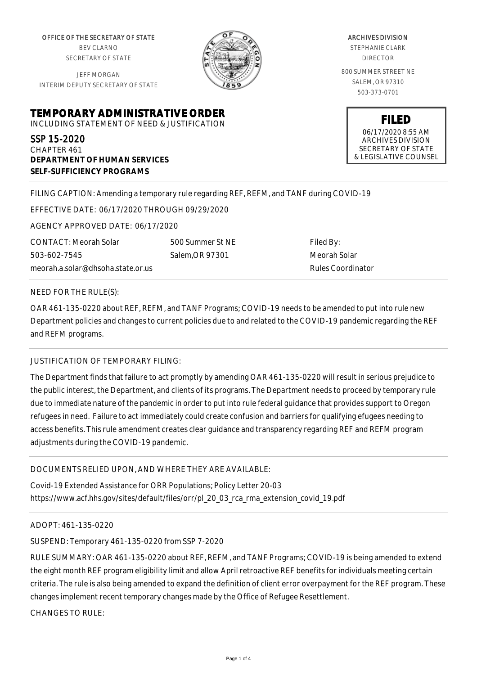OFFICE OF THE SECRETARY OF STATE BEV CLARNO SECRETARY OF STATE

JEFF MORGAN INTERIM DEPUTY SECRETARY OF STATE



ARCHIVES DIVISION STEPHANIE CLARK DIRECTOR 800 SUMMER STREET NE SALEM, OR 97310

503-373-0701

**FILED** 06/17/2020 8:55 AM ARCHIVES DIVISION SECRETARY OF STATE & LEGISLATIVE COUNSEL

**TEMPORARY ADMINISTRATIVE ORDER** INCLUDING STATEMENT OF NEED & JUSTIFICATION

SSP 15-2020 CHAPTER 461 **DEPARTMENT OF HUMAN SERVICES SELF-SUFFICIENCY PROGRAMS**

# FILING CAPTION: Amending a temporary rule regarding REF, REFM, and TANF during COVID-19

EFFECTIVE DATE: 06/17/2020 THROUGH 09/29/2020

AGENCY APPROVED DATE: 06/17/2020

CONTACT: Meorah Solar 503-602-7545 meorah.a.solar@dhsoha.state.or.us 500 Summer St NE Salem,OR 97301

Filed By: Meorah Solar Rules Coordinator

### NEED FOR THE RULE(S):

OAR 461-135-0220 about REF, REFM, and TANF Programs; COVID-19 needs to be amended to put into rule new Department policies and changes to current policies due to and related to the COVID-19 pandemic regarding the REF and REFM programs.

# JUSTIFICATION OF TEMPORARY FILING:

The Department finds that failure to act promptly by amending OAR 461-135-0220 will result in serious prejudice to the public interest, the Department, and clients of its programs. The Department needs to proceed by temporary rule due to immediate nature of the pandemic in order to put into rule federal guidance that provides support to Oregon refugees in need. Failure to act immediately could create confusion and barriers for qualifying efugees needing to access benefits. This rule amendment creates clear guidance and transparency regarding REF and REFM program adjustments during the COVID-19 pandemic.

# DOCUMENTS RELIED UPON, AND WHERE THEY ARE AVAILABLE:

Covid-19 Extended Assistance for ORR Populations; Policy Letter 20-03 https://www.acf.hhs.gov/sites/default/files/orr/pl\_20\_03\_rca\_rma\_extension\_covid\_19.pdf

### ADOPT: 461-135-0220

SUSPEND: Temporary 461-135-0220 from SSP 7-2020

RULE SUMMARY: OAR 461-135-0220 about REF, REFM, and TANF Programs; COVID-19 is being amended to extend the eight month REF program eligibility limit and allow April retroactive REF benefits for individuals meeting certain criteria. The rule is also being amended to expand the definition of client error overpayment for the REF program. These changes implement recent temporary changes made by the Office of Refugee Resettlement.

CHANGES TO RULE: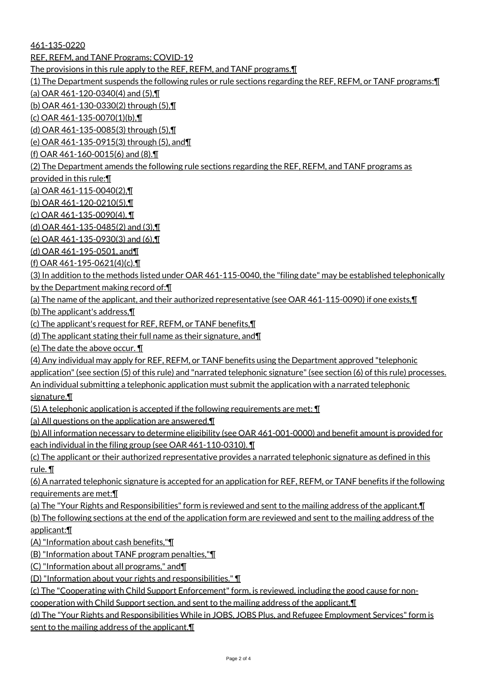461-135-0220 REF, REFM, and TANF Programs; COVID-19 The provisions in this rule apply to the REF, REFM, and TANF programs.¶ (1) The Department suspends the following rules or rule sections regarding the REF, REFM, or TANF programs:¶ (a) OAR 461-120-0340(4) and (5),¶ (b) OAR 461-130-0330(2) through (5),¶ (c) OAR 461-135-0070(1)(b),¶ (d) OAR 461-135-0085(3) through (5),¶ (e) OAR 461-135-0915(3) through (5), and¶ (f) OAR 461-160-0015(6) and (8).¶ (2) The Department amends the following rule sections regarding the REF, REFM, and TANF programs as provided in this rule:¶ (a) OAR 461-115-0040(2),¶ (b) OAR 461-120-0210(5),¶ (c) OAR 461-135-0090(4), ¶ (d) OAR 461-135-0485(2) and (3),¶ (e) OAR 461-135-0930(3) and (6),¶ (d) OAR 461-195-0501, and¶ (f) OAR 461-195-0621(4)(c).¶ (3) In addition to the methods listed under OAR 461-115-0040, the "filing date" may be established telephonically by the Department making record of:¶ (a) The name of the applicant, and their authorized representative (see OAR 461-115-0090) if one exists,¶ (b) The applicant's address,¶ (c) The applicant's request for REF, REFM, or TANF benefits,¶ (d) The applicant stating their full name as their signature, and¶ (e) The date the above occur. ¶ (4) Any individual may apply for REF, REFM, or TANF benefits using the Department approved "telephonic application" (see section (5) of this rule) and "narrated telephonic signature" (see section (6) of this rule) processes. An individual submitting a telephonic application must submit the application with a narrated telephonic signature.¶ (5) A telephonic application is accepted if the following requirements are met: ¶ (a) All questions on the application are answered.¶ (b) All information necessary to determine eligibility (see OAR 461-001-0000) and benefit amount is provided for each individual in the filing group (see OAR 461-110-0310). ¶ (c) The applicant or their authorized representative provides a narrated telephonic signature as defined in this rule. ¶ (6) A narrated telephonic signature is accepted for an application for REF, REFM, or TANF benefits if the following requirements are met:¶ (a) The "Your Rights and Responsibilities" form is reviewed and sent to the mailing address of the applicant.¶ (b) The following sections at the end of the application form are reviewed and sent to the mailing address of the applicant:¶ (A) "Information about cash benefits,"¶ (B) "Information about TANF program penalties,"¶ (C) "Information about all programs," and¶ (D) "Information about your rights and responsibilities." ¶ (c) The "Cooperating with Child Support Enforcement" form, is reviewed, including the good cause for noncooperation with Child Support section, and sent to the mailing address of the applicant.¶ (d) The "Your Rights and Responsibilities While in JOBS, JOBS Plus, and Refugee Employment Services" form is sent to the mailing address of the applicant.¶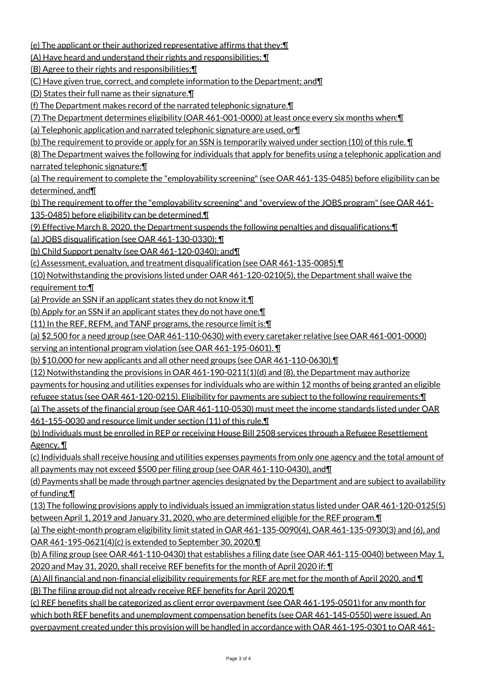(e) The applicant or their authorized representative affirms that they:¶

(A) Have heard and understand their rights and responsibilities; ¶

(B) Agree to their rights and responsibilities;¶

(C) Have given true, correct, and complete information to the Department; and¶

(D) States their full name as their signature.¶

(f) The Department makes record of the narrated telephonic signature.¶

(7) The Department determines eligibility (OAR 461-001-0000) at least once every six months when:¶

(a) Telephonic application and narrated telephonic signature are used, or¶

(b) The requirement to provide or apply for an SSN is temporarily waived under section (10) of this rule. ¶

(8) The Department waives the following for individuals that apply for benefits using a telephonic application and narrated telephonic signature:¶

(a) The requirement to complete the "employability screening" (see OAR 461-135-0485) before eligibility can be determined, and¶

(b) The requirement to offer the "employability screening" and "overview of the JOBS program" (see OAR 461-135-0485) before eligibility can be determined.¶

(9) Effective March 8, 2020, the Department suspends the following penalties and disqualifications:¶

(a) JOBS disqualification (see OAR 461-130-0330); ¶

(b) Child Support penalty (see OAR 461-120-0340); and¶

(c) Assessment, evaluation, and treatment disqualification (see OAR 461-135-0085).¶

(10) Notwithstanding the provisions listed under OAR 461-120-0210(5), the Department shall waive the requirement to:¶

(a) Provide an SSN if an applicant states they do not know it.¶

(b) Apply for an SSN if an applicant states they do not have one.¶

(11) In the REF, REFM, and TANF programs, the resource limit is:¶

(a) \$2,500 for a need group (see OAR 461-110-0630) with every caretaker relative (see OAR 461-001-0000) serving an intentional program violation (see OAR 461-195-0601). ¶

(b) \$10,000 for new applicants and all other need groups (see OAR 461-110-0630).¶

(12) Notwithstanding the provisions in OAR 461-190-0211(1)(d) and (8), the Department may authorize payments for housing and utilities expenses for individuals who are within 12 months of being granted an eligible refugee status (see OAR 461-120-0215). Eligibility for payments are subject to the following requirements:¶ (a) The assets of the financial group (see OAR 461-110-0530) must meet the income standards listed under OAR

461-155-0030 and resource limit under section (11) of this rule,¶

(b) Individuals must be enrolled in REP or receiving House Bill 2508 services through a Refugee Resettlement Agency, ¶

(c) Individuals shall receive housing and utilities expenses payments from only one agency and the total amount of all payments may not exceed \$500 per filing group (see OAR 461-110-0430), and¶

(d) Payments shall be made through partner agencies designated by the Department and are subject to availability of funding.¶

(13) The following provisions apply to individuals issued an immigration status listed under OAR 461-120-0125(5) between April 1, 2019 and January 31, 2020, who are determined eligible for the REF program.

(a) The eight-month program eligibility limit stated in OAR 461-135-0090(4), OAR 461-135-0930(3) and (6), and OAR 461-195-0621(4)(c) is extended to September 30, 2020.¶

(b) A filing group (see OAR 461-110-0430) that establishes a filing date (see OAR 461-115-0040) between May 1, 2020 and May 31, 2020, shall receive REF benefits for the month of April 2020 if: ¶

(A) All financial and non-financial eligibility requirements for REF are met for the month of April 2020, and ¶ (B) The filing group did not already receive REF benefits for April 2020.¶

(c) REF benefits shall be categorized as client error overpayment (see OAR 461-195-0501) for any month for which both REF benefits and unemployment compensation benefits (see OAR 461-145-0550) were issued. An overpayment created under this provision will be handled in accordance with OAR 461-195-0301 to OAR 461